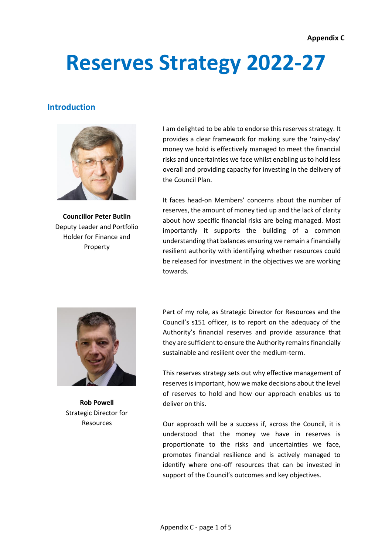# **Reserves Strategy 2022-27**

## **Introduction**



**Councillor Peter Butlin** Deputy Leader and Portfolio Holder for Finance and Property

I am delighted to be able to endorse this reserves strategy. It provides a clear framework for making sure the 'rainy-day' money we hold is effectively managed to meet the financial risks and uncertainties we face whilst enabling us to hold less overall and providing capacity for investing in the delivery of the Council Plan.

It faces head-on Members' concerns about the number of reserves, the amount of money tied up and the lack of clarity about how specific financial risks are being managed. Most importantly it supports the building of a common understanding that balances ensuring we remain a financially resilient authority with identifying whether resources could be released for investment in the objectives we are working towards.



**Rob Powell** Strategic Director for Resources

Part of my role, as Strategic Director for Resources and the Council's s151 officer, is to report on the adequacy of the Authority's financial reserves and provide assurance that they are sufficient to ensure the Authority remains financially sustainable and resilient over the medium-term.

This reserves strategy sets out why effective management of reserves is important, how we make decisions about the level of reserves to hold and how our approach enables us to deliver on this.

Our approach will be a success if, across the Council, it is understood that the money we have in reserves is proportionate to the risks and uncertainties we face, promotes financial resilience and is actively managed to identify where one-off resources that can be invested in support of the Council's outcomes and key objectives.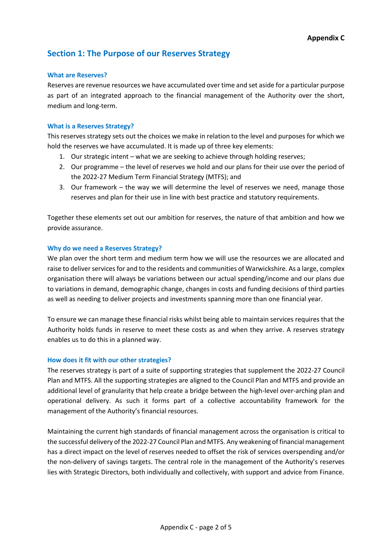## **Section 1: The Purpose of our Reserves Strategy**

#### **What are Reserves?**

Reserves are revenue resources we have accumulated over time and set aside for a particular purpose as part of an integrated approach to the financial management of the Authority over the short, medium and long-term.

#### **What is a Reserves Strategy?**

This reserves strategy sets out the choices we make in relation to the level and purposes for which we hold the reserves we have accumulated. It is made up of three key elements:

- 1. Our strategic intent what we are seeking to achieve through holding reserves;
- 2. Our programme the level of reserves we hold and our plans for their use over the period of the 2022-27 Medium Term Financial Strategy (MTFS); and
- 3. Our framework the way we will determine the level of reserves we need, manage those reserves and plan for their use in line with best practice and statutory requirements.

Together these elements set out our ambition for reserves, the nature of that ambition and how we provide assurance.

## **Why do we need a Reserves Strategy?**

We plan over the short term and medium term how we will use the resources we are allocated and raise to deliver services for and to the residents and communities of Warwickshire. As a large, complex organisation there will always be variations between our actual spending/income and our plans due to variations in demand, demographic change, changes in costs and funding decisions of third parties as well as needing to deliver projects and investments spanning more than one financial year.

To ensure we can manage these financial risks whilst being able to maintain services requires that the Authority holds funds in reserve to meet these costs as and when they arrive. A reserves strategy enables us to do this in a planned way.

## **How does it fit with our other strategies?**

The reserves strategy is part of a suite of supporting strategies that supplement the 2022-27 Council Plan and MTFS. All the supporting strategies are aligned to the Council Plan and MTFS and provide an additional level of granularity that help create a bridge between the high-level over-arching plan and operational delivery. As such it forms part of a collective accountability framework for the management of the Authority's financial resources.

Maintaining the current high standards of financial management across the organisation is critical to the successful delivery of the 2022-27 Council Plan and MTFS. Any weakening of financial management has a direct impact on the level of reserves needed to offset the risk of services overspending and/or the non-delivery of savings targets. The central role in the management of the Authority's reserves lies with Strategic Directors, both individually and collectively, with support and advice from Finance.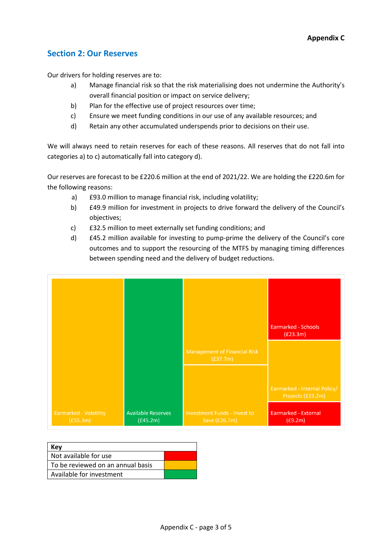## **Section 2: Our Reserves**

Our drivers for holding reserves are to:

- a) Manage financial risk so that the risk materialising does not undermine the Authority's overall financial position or impact on service delivery;
- b) Plan for the effective use of project resources over time;
- c) Ensure we meet funding conditions in our use of any available resources; and
- d) Retain any other accumulated underspends prior to decisions on their use.

We will always need to retain reserves for each of these reasons. All reserves that do not fall into categories a) to c) automatically fall into category d).

Our reserves are forecast to be £220.6 million at the end of 2021/22. We are holding the £220.6m for the following reasons:

- a) £93.0 million to manage financial risk, including volatility;
- b) £49.9 million for investment in projects to drive forward the delivery of the Council's objectives;
- c) £32.5 million to meet externally set funding conditions; and
- d) £45.2 million available for investing to pump-prime the delivery of the Council's core outcomes and to support the resourcing of the MTFS by managing timing differences between spending need and the delivery of budget reductions.

|                                    |                                       |                                                      | <b>Earmarked - Schools</b><br>(E23.3m)            |
|------------------------------------|---------------------------------------|------------------------------------------------------|---------------------------------------------------|
|                                    |                                       | <b>Management of Financial Risk</b><br>(E37.7m)      |                                                   |
|                                    |                                       |                                                      | Earmarked - Internal Policy/<br>Projects (£23.2m) |
| Earmarked - Volatility<br>(E55.3m) | <b>Available Reserves</b><br>(E45.2m) | <b>Investment Funds - Invest to</b><br>Save (£26.7m) | <b>Earmarked - External</b><br>(E9.2m)            |

| Kev                                 |  |
|-------------------------------------|--|
| Not available for use               |  |
| l To be reviewed on an annual basis |  |
| Available for investment            |  |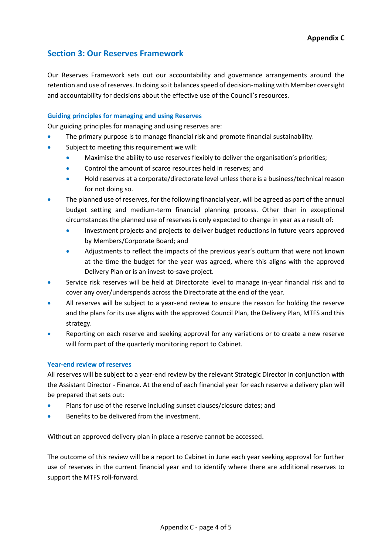## **Section 3: Our Reserves Framework**

Our Reserves Framework sets out our accountability and governance arrangements around the retention and use of reserves. In doing so it balances speed of decision-making with Member oversight and accountability for decisions about the effective use of the Council's resources.

## **Guiding principles for managing and using Reserves**

Our guiding principles for managing and using reserves are:

- The primary purpose is to manage financial risk and promote financial sustainability.
- Subject to meeting this requirement we will:
	- Maximise the ability to use reserves flexibly to deliver the organisation's priorities;
	- Control the amount of scarce resources held in reserves; and
	- Hold reserves at a corporate/directorate level unless there is a business/technical reason for not doing so.
- The planned use of reserves, for the following financial year, will be agreed as part of the annual budget setting and medium-term financial planning process. Other than in exceptional circumstances the planned use of reserves is only expected to change in year as a result of:
	- Investment projects and projects to deliver budget reductions in future years approved by Members/Corporate Board; and
	- Adjustments to reflect the impacts of the previous year's outturn that were not known at the time the budget for the year was agreed, where this aligns with the approved Delivery Plan or is an invest-to-save project.
- Service risk reserves will be held at Directorate level to manage in-year financial risk and to cover any over/underspends across the Directorate at the end of the year.
- All reserves will be subject to a year-end review to ensure the reason for holding the reserve and the plans for its use aligns with the approved Council Plan, the Delivery Plan, MTFS and this strategy.
- Reporting on each reserve and seeking approval for any variations or to create a new reserve will form part of the quarterly monitoring report to Cabinet.

## **Year-end review of reserves**

All reserves will be subject to a year-end review by the relevant Strategic Director in conjunction with the Assistant Director - Finance. At the end of each financial year for each reserve a delivery plan will be prepared that sets out:

- Plans for use of the reserve including sunset clauses/closure dates; and
- Benefits to be delivered from the investment.

Without an approved delivery plan in place a reserve cannot be accessed.

The outcome of this review will be a report to Cabinet in June each year seeking approval for further use of reserves in the current financial year and to identify where there are additional reserves to support the MTFS roll-forward.